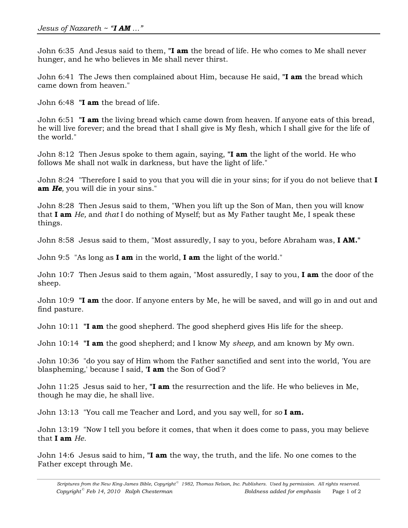John 6:35 And Jesus said to them, **"I am** the bread of life. He who comes to Me shall never hunger, and he who believes in Me shall never thirst.

John 6:41 The Jews then complained about Him, because He said, **"I am** the bread which came down from heaven."

John 6:48 **"I am** the bread of life.

John 6:51 **"I am** the living bread which came down from heaven. If anyone eats of this bread, he will live forever; and the bread that I shall give is My flesh, which I shall give for the life of the world."

John 8:12 Then Jesus spoke to them again, saying, **"I am** the light of the world. He who follows Me shall not walk in darkness, but have the light of life."

John 8:24 "Therefore I said to you that you will die in your sins; for if you do not believe that **I am** *He,* you will die in your sins."

John 8:28 Then Jesus said to them, "When you lift up the Son of Man, then you will know that **I am** *He,* and *that* I do nothing of Myself; but as My Father taught Me, I speak these things.

John 8:58 Jesus said to them, "Most assuredly, I say to you, before Abraham was, **I AM."**

John 9:5 "As long as **I am** in the world, **I am** the light of the world."

John 10:7 Then Jesus said to them again, "Most assuredly, I say to you, **I am** the door of the sheep.

John 10:9 **"I am** the door. If anyone enters by Me, he will be saved, and will go in and out and find pasture.

John 10:11 **"I am** the good shepherd. The good shepherd gives His life for the sheep.

John 10:14 **"I am** the good shepherd; and I know My *sheep,* and am known by My own.

John 10:36 "do you say of Him whom the Father sanctified and sent into the world, 'You are blaspheming,' because I said, **'I am** the Son of God'?

John 11:25 Jesus said to her, **"I am** the resurrection and the life. He who believes in Me, though he may die, he shall live.

John 13:13 "You call me Teacher and Lord, and you say well, for *so* **I am.**

John 13:19 "Now I tell you before it comes, that when it does come to pass, you may believe that **I am** *He.*

John 14:6 Jesus said to him, **"I am** the way, the truth, and the life. No one comes to the Father except through Me.